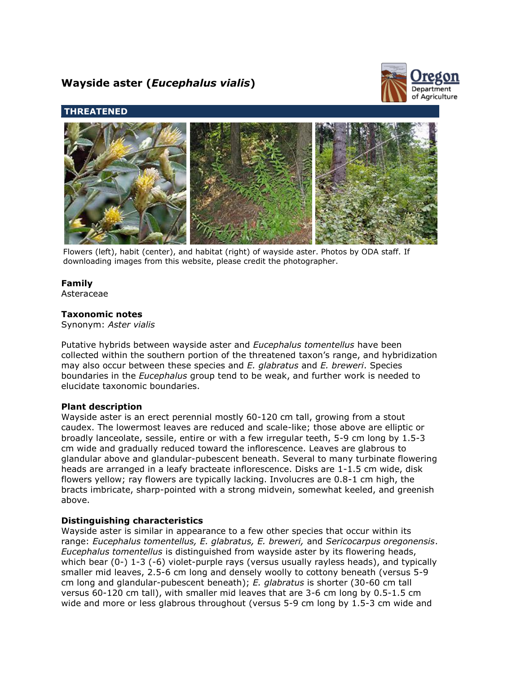# **Wayside aster (***Eucephalus vialis***)**



## **THREATENED**



Flowers (left), habit (center), and habitat (right) of wayside aster. Photos by ODA staff. If downloading images from this website, please credit the photographer.

## **Family**

Asteraceae

## **Taxonomic notes**

Synonym: *Aster vialis*

Putative hybrids between wayside aster and *Eucephalus tomentellus* have been collected within the southern portion of the threatened taxon's range, and hybridization may also occur between these species and *E. glabratus* and *E. breweri*. Species boundaries in the *Eucephalus* group tend to be weak, and further work is needed to elucidate taxonomic boundaries.

## **Plant description**

Wayside aster is an erect perennial mostly 60-120 cm tall, growing from a stout caudex. The lowermost leaves are reduced and scale-like; those above are elliptic or broadly lanceolate, sessile, entire or with a few irregular teeth, 5-9 cm long by 1.5-3 cm wide and gradually reduced toward the inflorescence. Leaves are glabrous to glandular above and glandular-pubescent beneath. Several to many turbinate flowering heads are arranged in a leafy bracteate inflorescence. Disks are 1-1.5 cm wide, disk flowers yellow; ray flowers are typically lacking. Involucres are 0.8-1 cm high, the bracts imbricate, sharp-pointed with a strong midvein, somewhat keeled, and greenish above.

## **Distinguishing characteristics**

Wayside aster is similar in appearance to a few other species that occur within its range: *Eucephalus tomentellus, E. glabratus, E. breweri,* and *Sericocarpus oregonensis*. *Eucephalus tomentellus* is distinguished from wayside aster by its flowering heads, which bear (0-) 1-3 (-6) violet-purple rays (versus usually rayless heads), and typically smaller mid leaves, 2.5-6 cm long and densely woolly to cottony beneath (versus 5-9 cm long and glandular-pubescent beneath); *E. glabratus* is shorter (30-60 cm tall versus 60-120 cm tall), with smaller mid leaves that are 3-6 cm long by 0.5-1.5 cm wide and more or less glabrous throughout (versus 5-9 cm long by 1.5-3 cm wide and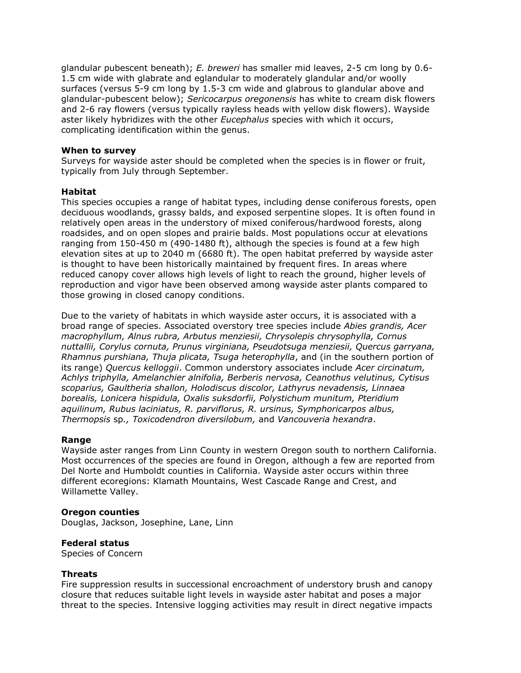glandular pubescent beneath); *E. breweri* has smaller mid leaves, 2-5 cm long by 0.6- 1.5 cm wide with glabrate and eglandular to moderately glandular and/or woolly surfaces (versus 5-9 cm long by 1.5-3 cm wide and glabrous to glandular above and glandular-pubescent below); *Sericocarpus oregonensis* has white to cream disk flowers and 2-6 ray flowers (versus typically rayless heads with yellow disk flowers). Wayside aster likely hybridizes with the other *Eucephalus* species with which it occurs, complicating identification within the genus.

#### **When to survey**

Surveys for wayside aster should be completed when the species is in flower or fruit, typically from July through September.

#### **Habitat**

This species occupies a range of habitat types, including dense coniferous forests, open deciduous woodlands, grassy balds, and exposed serpentine slopes. It is often found in relatively open areas in the understory of mixed coniferous/hardwood forests, along roadsides, and on open slopes and prairie balds. Most populations occur at elevations ranging from 150-450 m (490-1480 ft), although the species is found at a few high elevation sites at up to 2040 m (6680 ft). The open habitat preferred by wayside aster is thought to have been historically maintained by frequent fires. In areas where reduced canopy cover allows high levels of light to reach the ground, higher levels of reproduction and vigor have been observed among wayside aster plants compared to those growing in closed canopy conditions.

Due to the variety of habitats in which wayside aster occurs, it is associated with a broad range of species. Associated overstory tree species include *Abies grandis, Acer macrophyllum, Alnus rubra, Arbutus menziesii, Chrysolepis chrysophylla, Cornus nuttallii, Corylus cornuta, Prunus virginiana, Pseudotsuga menziesii, Quercus garryana, Rhamnus purshiana, Thuja plicata, Tsuga heterophylla*, and (in the southern portion of its range) *Quercus kelloggii*. Common understory associates include *Acer circinatum, Achlys triphylla, Amelanchier alnifolia, Berberis nervosa, Ceanothus velutinus, Cytisus scoparius, Gaultheria shallon, Holodiscus discolor, Lathyrus nevadensis, Linnaea borealis, Lonicera hispidula, Oxalis suksdorfii, Polystichum munitum, Pteridium aquilinum, Rubus laciniatus, R. parviflorus, R. ursinus, Symphoricarpos albus, Thermopsis* sp*., Toxicodendron diversilobum,* and *Vancouveria hexandra*.

#### **Range**

Wayside aster ranges from Linn County in western Oregon south to northern California. Most occurrences of the species are found in Oregon, although a few are reported from Del Norte and Humboldt counties in California. Wayside aster occurs within three different ecoregions: Klamath Mountains, West Cascade Range and Crest, and Willamette Valley.

## **Oregon counties**

Douglas, Jackson, Josephine, Lane, Linn

#### **Federal status**

Species of Concern

## **Threats**

Fire suppression results in successional encroachment of understory brush and canopy closure that reduces suitable light levels in wayside aster habitat and poses a major threat to the species. Intensive logging activities may result in direct negative impacts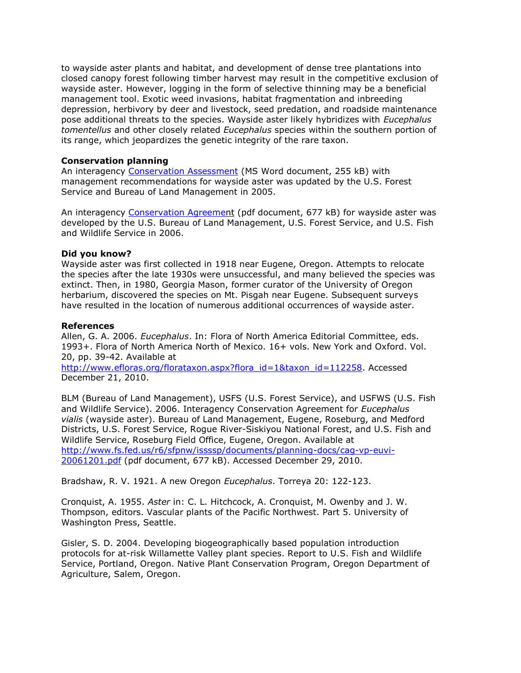to wayside aster plants and habitat, and development of dense tree plantations into closed canopy forest following timber harvest may result in the competitive exclusion of wayside aster. However, logging in the form of selective thinning may be a beneficial management tool. Exotic weed invasions, habitat fragmentation and inbreeding depression, herbivory by deer and livestock, seed predation, and roadside maintenance pose additional threats to the species. Wayside aster likely hybridizes with *Eucephalus tomentellus* and other closely related *Eucephalus* species within the southern portion of its range, which jeopardizes the genetic integrity of the rare taxon.

### **Conservation planning**

An interagency [Conservation Assessment](http://www.fs.fed.us/r6/sfpnw/issssp/documents/planning-docs/20050127-vasc-eucephalus-vialis.doc) (MS Word document, 255 kB) with management recommendations for wayside aster was updated by the U.S. Forest Service and Bureau of Land Management in 2005.

An interagency [Conservation Agreemen](http://www.fs.fed.us/r6/sfpnw/issssp/documents/planning-docs/cag-vp-euvi-20061201.pdf)t (pdf document, 677 kB) for wayside aster was developed by the U.S. Bureau of Land Management, U.S. Forest Service, and U.S. Fish and Wildlife Service in 2006.

#### **Did you know?**

Wayside aster was first collected in 1918 near Eugene, Oregon. Attempts to relocate the species after the late 1930s were unsuccessful, and many believed the species was extinct. Then, in 1980, Georgia Mason, former curator of the University of Oregon herbarium, discovered the species on Mt. Pisgah near Eugene. Subsequent surveys have resulted in the location of numerous additional occurrences of wayside aster.

#### **References**

Allen, G. A. 2006. *Eucephalus*. In: Flora of North America Editorial Committee, eds. 1993+. Flora of North America North of Mexico. 16+ vols. New York and Oxford. Vol. 20, pp. 39-42. Available at

[http://www.efloras.org/florataxon.aspx?flora\\_id=1&taxon\\_id=112258.](http://www.efloras.org/florataxon.aspx?flora_id=1&taxon_id=112258) Accessed December 21, 2010.

BLM (Bureau of Land Management), USFS (U.S. Forest Service), and USFWS (U.S. Fish and Wildlife Service). 2006. Interagency Conservation Agreement for *Eucephalus vialis* (wayside aster). Bureau of Land Management, Eugene, Roseburg, and Medford Districts, U.S. Forest Service, Rogue River-Siskiyou National Forest, and U.S. Fish and Wildlife Service, Roseburg Field Office, Eugene, Oregon. Available at [http://www.fs.fed.us/r6/sfpnw/issssp/documents/planning-docs/cag-vp-euvi-](http://www.fs.fed.us/r6/sfpnw/issssp/documents/planning-docs/cag-vp-euvi-20061201.pdf)[20061201.pdf](http://www.fs.fed.us/r6/sfpnw/issssp/documents/planning-docs/cag-vp-euvi-20061201.pdf) (pdf document, 677 kB). Accessed December 29, 2010.

Bradshaw, R. V. 1921. A new Oregon *Eucephalus*. Torreya 20: 122-123.

Cronquist, A. 1955. *Aster* in: C. L. Hitchcock, A. Cronquist, M. Owenby and J. W. Thompson, editors. Vascular plants of the Pacific Northwest. Part 5. University of Washington Press, Seattle.

Gisler, S. D. 2004. Developing biogeographically based population introduction protocols for at-risk Willamette Valley plant species. Report to U.S. Fish and Wildlife Service, Portland, Oregon. Native Plant Conservation Program, Oregon Department of Agriculture, Salem, Oregon.